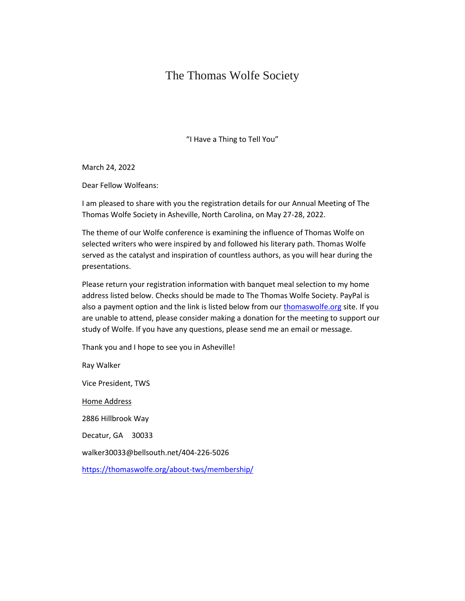## The Thomas Wolfe Society

"I Have a Thing to Tell You"

March 24, 2022

Dear Fellow Wolfeans:

I am pleased to share with you the registration details for our Annual Meeting of The Thomas Wolfe Society in Asheville, North Carolina, on May 27-28, 2022.

The theme of our Wolfe conference is examining the influence of Thomas Wolfe on selected writers who were inspired by and followed his literary path. Thomas Wolfe served as the catalyst and inspiration of countless authors, as you will hear during the presentations.

Please return your registration information with banquet meal selection to my home address listed below. Checks should be made to The Thomas Wolfe Society. PayPal is also a payment option and the link is listed below from our [thomaswolfe.org](http://thomaswolfe.org/) site. If you are unable to attend, please consider making a donation for the meeting to support our study of Wolfe. If you have any questions, please send me an email or message.

Thank you and I hope to see you in Asheville!

Ray Walker Vice President, TWS Home Address 2886 Hillbrook Way Decatur, GA 30033 walker30033@bellsouth.net/404-226-5026 <https://thomaswolfe.org/about-tws/membership/>